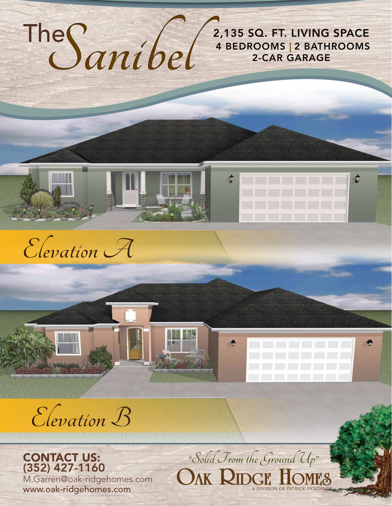The**Sanibel**

**2,135 SQ. FT. LIVING SPACE**<br> **EXERT CAR GARAGE**<br> **EXERT GARAGE**<br>
<br> **Solid From the Ground Up"**  4 BEDROOMS | 2 BATHROOMS 2-CAR GARAGE



**Elevation B**

**EWOND** 

CONTACT US: (352) 427-1160 M.Garren@oak-ridgehomes.com www.oak-ridgehomes.com

OAK RIDGE HOMES